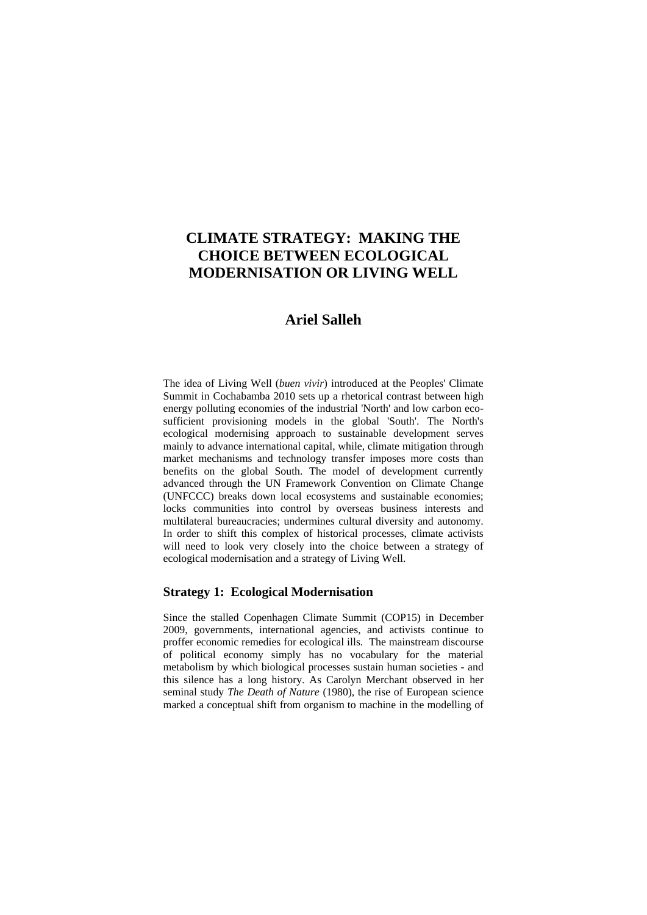# **CLIMATE STRATEGY: MAKING THE CHOICE BETWEEN ECOLOGICAL MODERNISATION OR LIVING WELL**

## **Ariel Salleh**

The idea of Living Well (*buen vivir*) introduced at the Peoples' Climate Summit in Cochabamba 2010 sets up a rhetorical contrast between high energy polluting economies of the industrial 'North' and low carbon ecosufficient provisioning models in the global 'South'. The North's ecological modernising approach to sustainable development serves mainly to advance international capital, while, climate mitigation through market mechanisms and technology transfer imposes more costs than benefits on the global South. The model of development currently advanced through the UN Framework Convention on Climate Change (UNFCCC) breaks down local ecosystems and sustainable economies; locks communities into control by overseas business interests and multilateral bureaucracies; undermines cultural diversity and autonomy. In order to shift this complex of historical processes, climate activists will need to look very closely into the choice between a strategy of ecological modernisation and a strategy of Living Well.

### **Strategy 1: Ecological Modernisation**

Since the stalled Copenhagen Climate Summit (COP15) in December 2009, governments, international agencies, and activists continue to proffer economic remedies for ecological ills. The mainstream discourse of political economy simply has no vocabulary for the material metabolism by which biological processes sustain human societies - and this silence has a long history. As Carolyn Merchant observed in her seminal study *The Death of Nature* (1980), the rise of European science marked a conceptual shift from organism to machine in the modelling of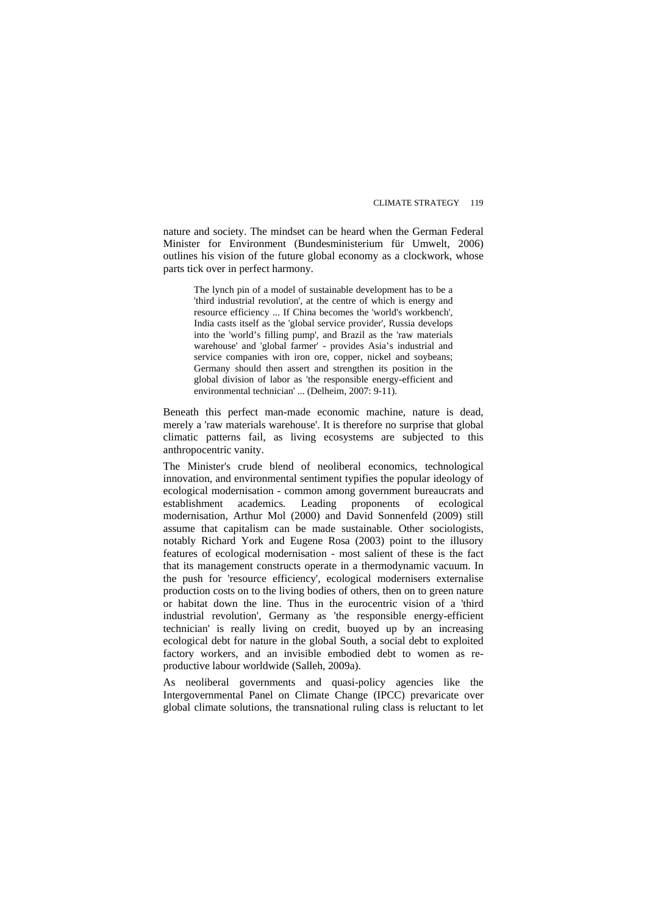nature and society. The mindset can be heard when the German Federal Minister for Environment (Bundesministerium für Umwelt, 2006) outlines his vision of the future global economy as a clockwork, whose parts tick over in perfect harmony.

The lynch pin of a model of sustainable development has to be a 'third industrial revolution', at the centre of which is energy and resource efficiency ... If China becomes the 'world's workbench', India casts itself as the 'global service provider', Russia develops into the 'world's filling pump', and Brazil as the 'raw materials warehouse' and 'global farmer' - provides Asia's industrial and service companies with iron ore, copper, nickel and soybeans; Germany should then assert and strengthen its position in the global division of labor as 'the responsible energy-efficient and environmental technician' ... (Delheim, 2007: 9-11).

Beneath this perfect man-made economic machine, nature is dead, merely a 'raw materials warehouse'. It is therefore no surprise that global climatic patterns fail, as living ecosystems are subjected to this anthropocentric vanity.

The Minister's crude blend of neoliberal economics, technological innovation, and environmental sentiment typifies the popular ideology of ecological modernisation - common among government bureaucrats and establishment academics. Leading proponents of ecological modernisation, Arthur Mol (2000) and David Sonnenfeld (2009) still assume that capitalism can be made sustainable. Other sociologists, notably Richard York and Eugene Rosa (2003) point to the illusory features of ecological modernisation - most salient of these is the fact that its management constructs operate in a thermodynamic vacuum. In the push for 'resource efficiency', ecological modernisers externalise production costs on to the living bodies of others, then on to green nature or habitat down the line. Thus in the eurocentric vision of a 'third industrial revolution', Germany as 'the responsible energy-efficient technician' is really living on credit, buoyed up by an increasing ecological debt for nature in the global South, a social debt to exploited factory workers, and an invisible embodied debt to women as reproductive labour worldwide (Salleh, 2009a).

As neoliberal governments and quasi-policy agencies like the Intergovernmental Panel on Climate Change (IPCC) prevaricate over global climate solutions, the transnational ruling class is reluctant to let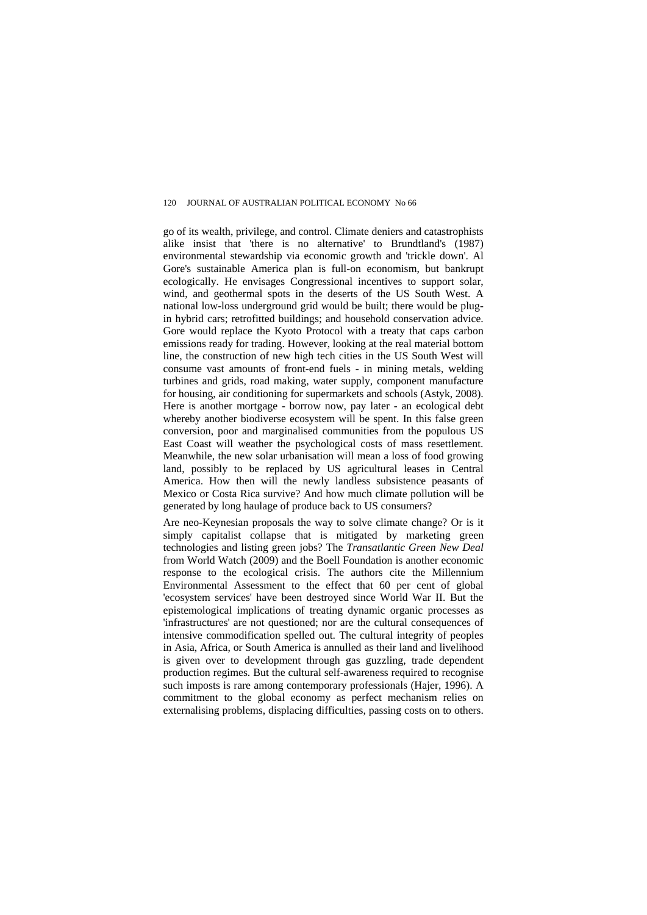go of its wealth, privilege, and control. Climate deniers and catastrophists alike insist that 'there is no alternative' to Brundtland's (1987) environmental stewardship via economic growth and 'trickle down'. Al Gore's sustainable America plan is full-on economism, but bankrupt ecologically. He envisages Congressional incentives to support solar, wind, and geothermal spots in the deserts of the US South West. A national low-loss underground grid would be built; there would be plugin hybrid cars; retrofitted buildings; and household conservation advice. Gore would replace the Kyoto Protocol with a treaty that caps carbon emissions ready for trading. However, looking at the real material bottom line, the construction of new high tech cities in the US South West will consume vast amounts of front-end fuels - in mining metals, welding turbines and grids, road making, water supply, component manufacture for housing, air conditioning for supermarkets and schools (Astyk, 2008). Here is another mortgage - borrow now, pay later - an ecological debt whereby another biodiverse ecosystem will be spent. In this false green conversion, poor and marginalised communities from the populous US East Coast will weather the psychological costs of mass resettlement. Meanwhile, the new solar urbanisation will mean a loss of food growing land, possibly to be replaced by US agricultural leases in Central America. How then will the newly landless subsistence peasants of Mexico or Costa Rica survive? And how much climate pollution will be generated by long haulage of produce back to US consumers?

Are neo-Keynesian proposals the way to solve climate change? Or is it simply capitalist collapse that is mitigated by marketing green technologies and listing green jobs? The *Transatlantic Green New Deal*  from World Watch (2009) and the Boell Foundation is another economic response to the ecological crisis. The authors cite the Millennium Environmental Assessment to the effect that 60 per cent of global 'ecosystem services' have been destroyed since World War II. But the epistemological implications of treating dynamic organic processes as 'infrastructures' are not questioned; nor are the cultural consequences of intensive commodification spelled out. The cultural integrity of peoples in Asia, Africa, or South America is annulled as their land and livelihood is given over to development through gas guzzling, trade dependent production regimes. But the cultural self-awareness required to recognise such imposts is rare among contemporary professionals (Hajer, 1996). A commitment to the global economy as perfect mechanism relies on externalising problems, displacing difficulties, passing costs on to others.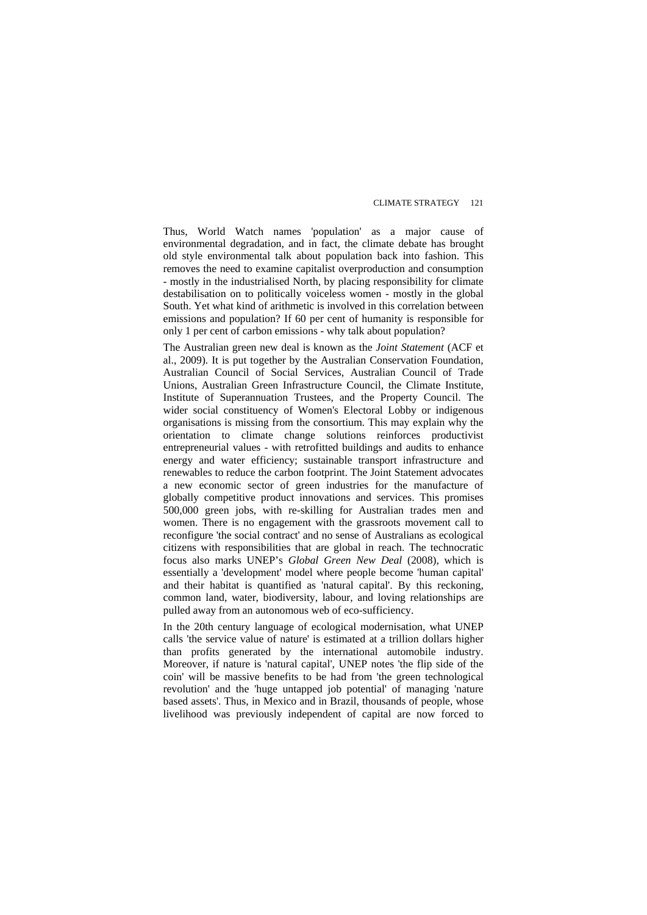Thus, World Watch names 'population' as a major cause of environmental degradation, and in fact, the climate debate has brought old style environmental talk about population back into fashion. This removes the need to examine capitalist overproduction and consumption - mostly in the industrialised North, by placing responsibility for climate destabilisation on to politically voiceless women - mostly in the global South. Yet what kind of arithmetic is involved in this correlation between emissions and population? If 60 per cent of humanity is responsible for only 1 per cent of carbon emissions - why talk about population?

The Australian green new deal is known as the *Joint Statement* (ACF et al., 2009). It is put together by the Australian Conservation Foundation, Australian Council of Social Services, Australian Council of Trade Unions, Australian Green Infrastructure Council, the Climate Institute, Institute of Superannuation Trustees, and the Property Council. The wider social constituency of Women's Electoral Lobby or indigenous organisations is missing from the consortium. This may explain why the orientation to climate change solutions reinforces productivist entrepreneurial values - with retrofitted buildings and audits to enhance energy and water efficiency; sustainable transport infrastructure and renewables to reduce the carbon footprint. The Joint Statement advocates a new economic sector of green industries for the manufacture of globally competitive product innovations and services. This promises 500,000 green jobs, with re-skilling for Australian trades men and women. There is no engagement with the grassroots movement call to reconfigure 'the social contract' and no sense of Australians as ecological citizens with responsibilities that are global in reach. The technocratic focus also marks UNEP's *Global Green New Deal* (2008), which is essentially a 'development' model where people become 'human capital' and their habitat is quantified as 'natural capital'. By this reckoning, common land, water, biodiversity, labour, and loving relationships are pulled away from an autonomous web of eco-sufficiency.

In the 20th century language of ecological modernisation, what UNEP calls 'the service value of nature' is estimated at a trillion dollars higher than profits generated by the international automobile industry. Moreover, if nature is 'natural capital', UNEP notes 'the flip side of the coin' will be massive benefits to be had from 'the green technological revolution' and the 'huge untapped job potential' of managing 'nature based assets'. Thus, in Mexico and in Brazil, thousands of people, whose livelihood was previously independent of capital are now forced to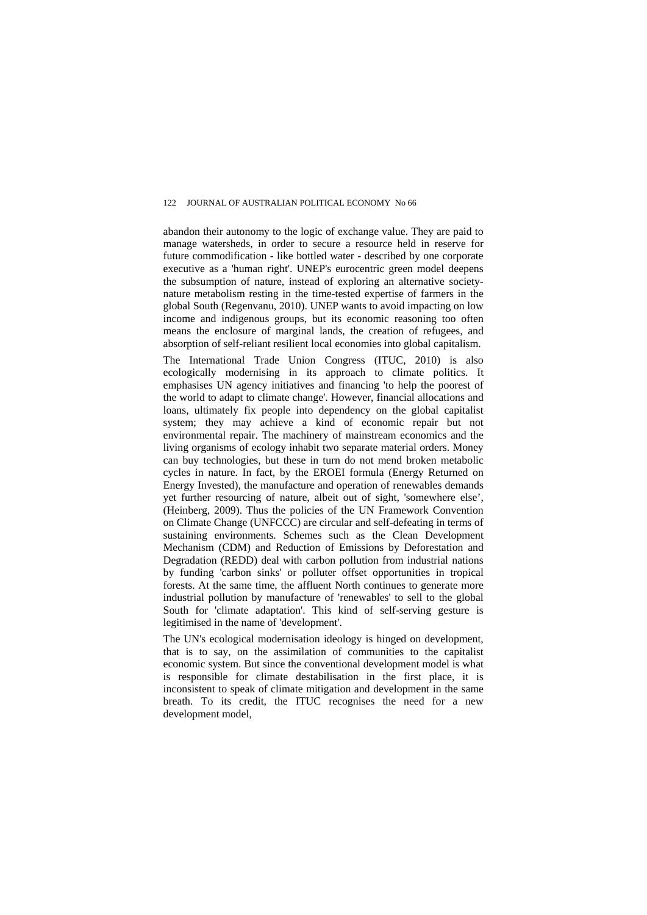abandon their autonomy to the logic of exchange value. They are paid to manage watersheds, in order to secure a resource held in reserve for future commodification - like bottled water - described by one corporate executive as a 'human right'. UNEP's eurocentric green model deepens the subsumption of nature, instead of exploring an alternative societynature metabolism resting in the time-tested expertise of farmers in the global South (Regenvanu, 2010). UNEP wants to avoid impacting on low income and indigenous groups, but its economic reasoning too often means the enclosure of marginal lands, the creation of refugees, and absorption of self-reliant resilient local economies into global capitalism.

The International Trade Union Congress (ITUC, 2010) is also ecologically modernising in its approach to climate politics. It emphasises UN agency initiatives and financing 'to help the poorest of the world to adapt to climate change'. However, financial allocations and loans, ultimately fix people into dependency on the global capitalist system; they may achieve a kind of economic repair but not environmental repair. The machinery of mainstream economics and the living organisms of ecology inhabit two separate material orders. Money can buy technologies, but these in turn do not mend broken metabolic cycles in nature. In fact, by the EROEI formula (Energy Returned on Energy Invested), the manufacture and operation of renewables demands yet further resourcing of nature, albeit out of sight, 'somewhere else', (Heinberg, 2009). Thus the policies of the UN Framework Convention on Climate Change (UNFCCC) are circular and self-defeating in terms of sustaining environments. Schemes such as the Clean Development Mechanism (CDM) and Reduction of Emissions by Deforestation and Degradation (REDD) deal with carbon pollution from industrial nations by funding 'carbon sinks' or polluter offset opportunities in tropical forests. At the same time, the affluent North continues to generate more industrial pollution by manufacture of 'renewables' to sell to the global South for 'climate adaptation'. This kind of self-serving gesture is legitimised in the name of 'development'.

The UN's ecological modernisation ideology is hinged on development, that is to say, on the assimilation of communities to the capitalist economic system. But since the conventional development model is what is responsible for climate destabilisation in the first place, it is inconsistent to speak of climate mitigation and development in the same breath. To its credit, the ITUC recognises the need for a new development model,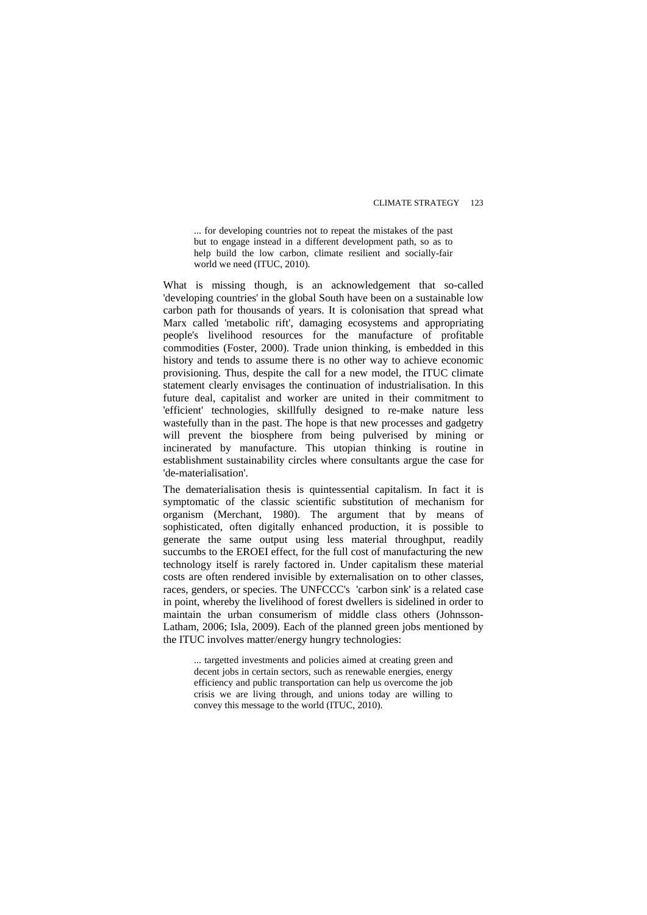... for developing countries not to repeat the mistakes of the past but to engage instead in a different development path, so as to help build the low carbon, climate resilient and socially-fair world we need (ITUC, 2010).

What is missing though, is an acknowledgement that so-called 'developing countries' in the global South have been on a sustainable low carbon path for thousands of years. It is colonisation that spread what Marx called 'metabolic rift', damaging ecosystems and appropriating people's livelihood resources for the manufacture of profitable commodities (Foster, 2000). Trade union thinking, is embedded in this history and tends to assume there is no other way to achieve economic provisioning. Thus, despite the call for a new model, the ITUC climate statement clearly envisages the continuation of industrialisation. In this future deal, capitalist and worker are united in their commitment to 'efficient' technologies, skillfully designed to re-make nature less wastefully than in the past. The hope is that new processes and gadgetry will prevent the biosphere from being pulverised by mining or incinerated by manufacture. This utopian thinking is routine in establishment sustainability circles where consultants argue the case for 'de-materialisation'.

The dematerialisation thesis is quintessential capitalism. In fact it is symptomatic of the classic scientific substitution of mechanism for organism (Merchant, 1980). The argument that by means of sophisticated, often digitally enhanced production, it is possible to generate the same output using less material throughput, readily succumbs to the EROEI effect, for the full cost of manufacturing the new technology itself is rarely factored in. Under capitalism these material costs are often rendered invisible by externalisation on to other classes, races, genders, or species. The UNFCCC's 'carbon sink' is a related case in point, whereby the livelihood of forest dwellers is sidelined in order to maintain the urban consumerism of middle class others (Johnsson-Latham, 2006; Isla, 2009). Each of the planned green jobs mentioned by the ITUC involves matter/energy hungry technologies:

... targetted investments and policies aimed at creating green and decent jobs in certain sectors, such as renewable energies, energy efficiency and public transportation can help us overcome the job crisis we are living through, and unions today are willing to convey this message to the world (ITUC, 2010).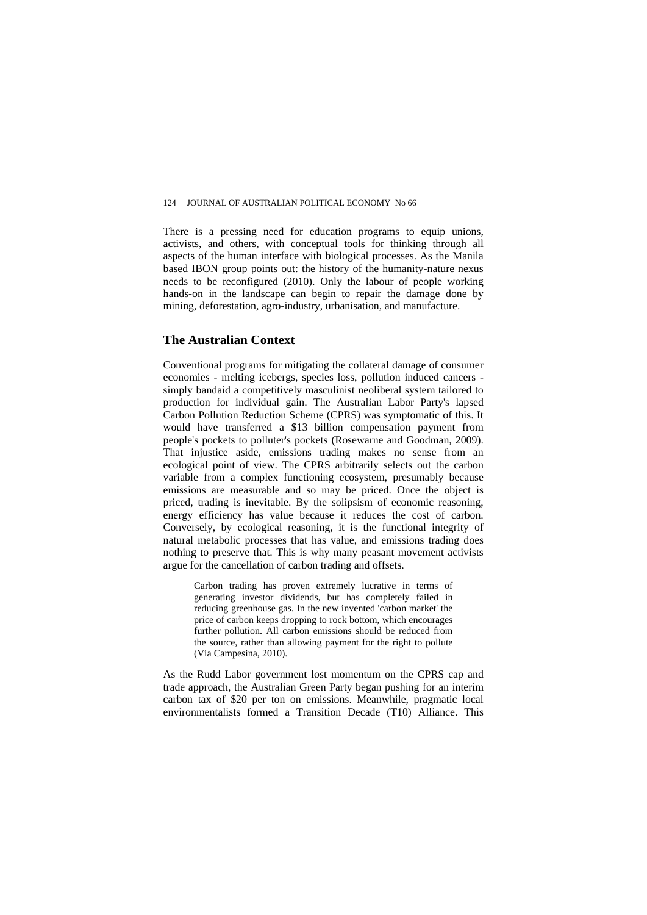There is a pressing need for education programs to equip unions, activists, and others, with conceptual tools for thinking through all aspects of the human interface with biological processes. As the Manila based IBON group points out: the history of the humanity-nature nexus needs to be reconfigured (2010). Only the labour of people working hands-on in the landscape can begin to repair the damage done by mining, deforestation, agro-industry, urbanisation, and manufacture.

### **The Australian Context**

Conventional programs for mitigating the collateral damage of consumer economies - melting icebergs, species loss, pollution induced cancers simply bandaid a competitively masculinist neoliberal system tailored to production for individual gain. The Australian Labor Party's lapsed Carbon Pollution Reduction Scheme (CPRS) was symptomatic of this. It would have transferred a \$13 billion compensation payment from people's pockets to polluter's pockets (Rosewarne and Goodman, 2009). That injustice aside, emissions trading makes no sense from an ecological point of view. The CPRS arbitrarily selects out the carbon variable from a complex functioning ecosystem, presumably because emissions are measurable and so may be priced. Once the object is priced, trading is inevitable. By the solipsism of economic reasoning, energy efficiency has value because it reduces the cost of carbon. Conversely, by ecological reasoning, it is the functional integrity of natural metabolic processes that has value, and emissions trading does nothing to preserve that. This is why many peasant movement activists argue for the cancellation of carbon trading and offsets.

Carbon trading has proven extremely lucrative in terms of generating investor dividends, but has completely failed in reducing greenhouse gas. In the new invented 'carbon market' the price of carbon keeps dropping to rock bottom, which encourages further pollution. All carbon emissions should be reduced from the source, rather than allowing payment for the right to pollute (Via Campesina, 2010).

As the Rudd Labor government lost momentum on the CPRS cap and trade approach, the Australian Green Party began pushing for an interim carbon tax of \$20 per ton on emissions. Meanwhile, pragmatic local environmentalists formed a Transition Decade (T10) Alliance. This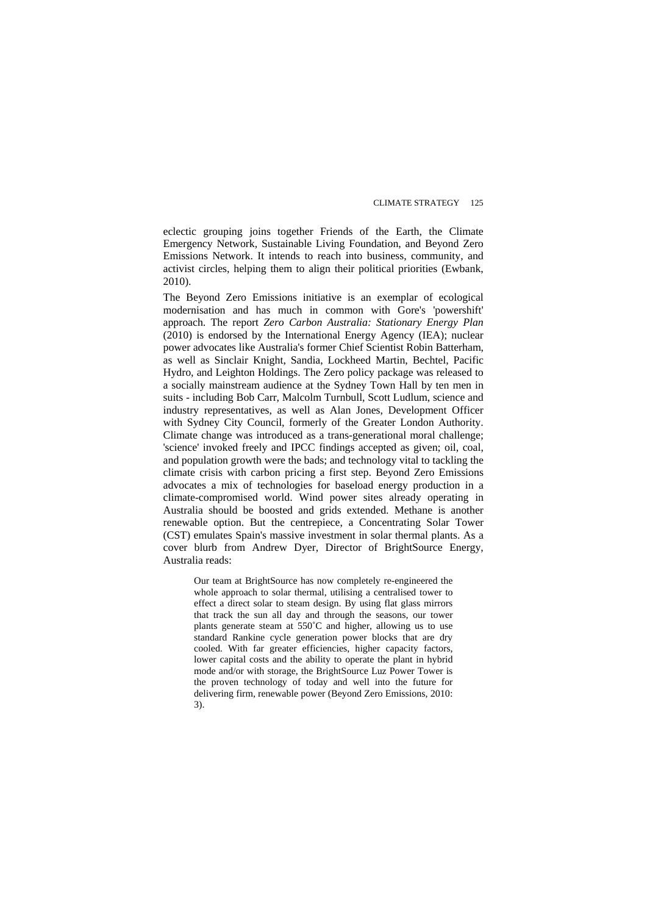eclectic grouping joins together Friends of the Earth, the Climate Emergency Network, Sustainable Living Foundation, and Beyond Zero Emissions Network. It intends to reach into business, community, and activist circles, helping them to align their political priorities (Ewbank, 2010).

The Beyond Zero Emissions initiative is an exemplar of ecological modernisation and has much in common with Gore's 'powershift' approach. The report *Zero Carbon Australia: Stationary Energy Plan*  (2010) is endorsed by the International Energy Agency (IEA); nuclear power advocates like Australia's former Chief Scientist Robin Batterham, as well as Sinclair Knight, Sandia, Lockheed Martin, Bechtel, Pacific Hydro, and Leighton Holdings. The Zero policy package was released to a socially mainstream audience at the Sydney Town Hall by ten men in suits - including Bob Carr, Malcolm Turnbull, Scott Ludlum, science and industry representatives, as well as Alan Jones, Development Officer with Sydney City Council, formerly of the Greater London Authority. Climate change was introduced as a trans-generational moral challenge; 'science' invoked freely and IPCC findings accepted as given; oil, coal, and population growth were the bads; and technology vital to tackling the climate crisis with carbon pricing a first step. Beyond Zero Emissions advocates a mix of technologies for baseload energy production in a climate-compromised world. Wind power sites already operating in Australia should be boosted and grids extended. Methane is another renewable option. But the centrepiece, a Concentrating Solar Tower (CST) emulates Spain's massive investment in solar thermal plants. As a cover blurb from Andrew Dyer, Director of BrightSource Energy, Australia reads:

Our team at BrightSource has now completely re-engineered the whole approach to solar thermal, utilising a centralised tower to effect a direct solar to steam design. By using flat glass mirrors that track the sun all day and through the seasons, our tower plants generate steam at 550˚C and higher, allowing us to use standard Rankine cycle generation power blocks that are dry cooled. With far greater efficiencies, higher capacity factors, lower capital costs and the ability to operate the plant in hybrid mode and/or with storage, the BrightSource Luz Power Tower is the proven technology of today and well into the future for delivering firm, renewable power (Beyond Zero Emissions, 2010: 3).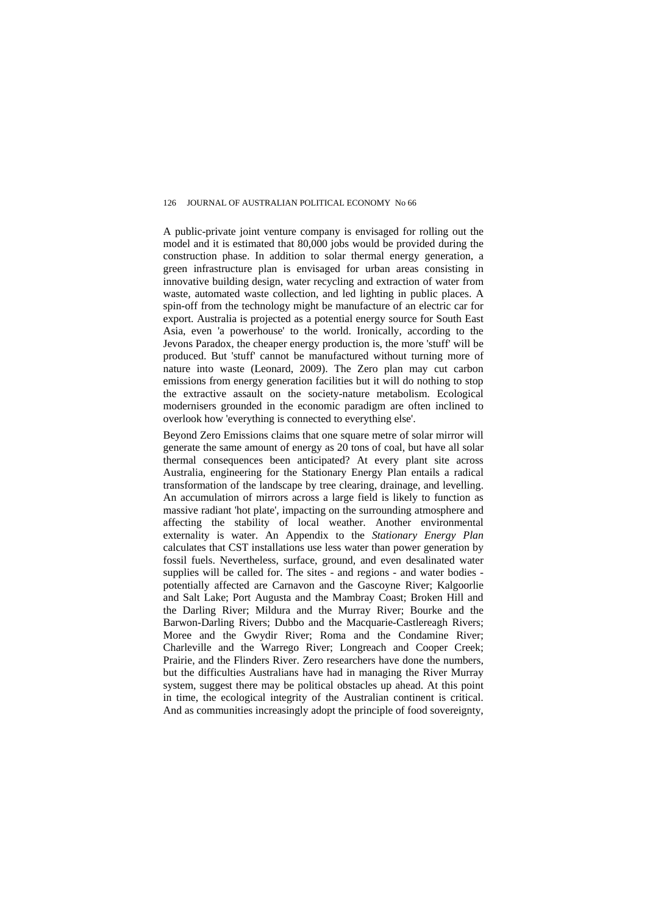A public-private joint venture company is envisaged for rolling out the model and it is estimated that 80,000 jobs would be provided during the construction phase. In addition to solar thermal energy generation, a green infrastructure plan is envisaged for urban areas consisting in innovative building design, water recycling and extraction of water from waste, automated waste collection, and led lighting in public places. A spin-off from the technology might be manufacture of an electric car for export. Australia is projected as a potential energy source for South East Asia, even 'a powerhouse' to the world. Ironically, according to the Jevons Paradox, the cheaper energy production is, the more 'stuff' will be produced. But 'stuff' cannot be manufactured without turning more of nature into waste (Leonard, 2009). The Zero plan may cut carbon emissions from energy generation facilities but it will do nothing to stop the extractive assault on the society-nature metabolism. Ecological modernisers grounded in the economic paradigm are often inclined to overlook how 'everything is connected to everything else'.

Beyond Zero Emissions claims that one square metre of solar mirror will generate the same amount of energy as 20 tons of coal, but have all solar thermal consequences been anticipated? At every plant site across Australia, engineering for the Stationary Energy Plan entails a radical transformation of the landscape by tree clearing, drainage, and levelling. An accumulation of mirrors across a large field is likely to function as massive radiant 'hot plate', impacting on the surrounding atmosphere and affecting the stability of local weather. Another environmental externality is water. An Appendix to the *Stationary Energy Plan*  calculates that CST installations use less water than power generation by fossil fuels. Nevertheless, surface, ground, and even desalinated water supplies will be called for. The sites - and regions - and water bodies potentially affected are Carnavon and the Gascoyne River; Kalgoorlie and Salt Lake; Port Augusta and the Mambray Coast; Broken Hill and the Darling River; Mildura and the Murray River; Bourke and the Barwon-Darling Rivers; Dubbo and the Macquarie-Castlereagh Rivers; Moree and the Gwydir River; Roma and the Condamine River; Charleville and the Warrego River; Longreach and Cooper Creek; Prairie, and the Flinders River. Zero researchers have done the numbers, but the difficulties Australians have had in managing the River Murray system, suggest there may be political obstacles up ahead. At this point in time, the ecological integrity of the Australian continent is critical. And as communities increasingly adopt the principle of food sovereignty,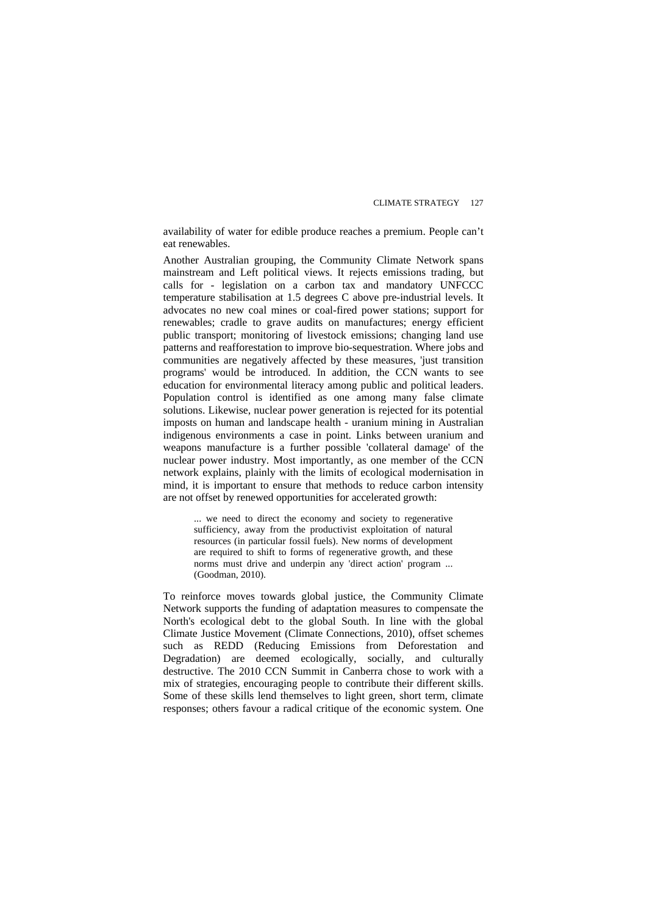availability of water for edible produce reaches a premium. People can't eat renewables.

Another Australian grouping, the Community Climate Network spans mainstream and Left political views. It rejects emissions trading, but calls for - legislation on a carbon tax and mandatory UNFCCC temperature stabilisation at 1.5 degrees C above pre-industrial levels. It advocates no new coal mines or coal-fired power stations; support for renewables; cradle to grave audits on manufactures; energy efficient public transport; monitoring of livestock emissions; changing land use patterns and reafforestation to improve bio-sequestration. Where jobs and communities are negatively affected by these measures, 'just transition programs' would be introduced. In addition, the CCN wants to see education for environmental literacy among public and political leaders. Population control is identified as one among many false climate solutions. Likewise, nuclear power generation is rejected for its potential imposts on human and landscape health - uranium mining in Australian indigenous environments a case in point. Links between uranium and weapons manufacture is a further possible 'collateral damage' of the nuclear power industry. Most importantly, as one member of the CCN network explains, plainly with the limits of ecological modernisation in mind, it is important to ensure that methods to reduce carbon intensity are not offset by renewed opportunities for accelerated growth:

... we need to direct the economy and society to regenerative sufficiency, away from the productivist exploitation of natural resources (in particular fossil fuels). New norms of development are required to shift to forms of regenerative growth, and these norms must drive and underpin any 'direct action' program ... (Goodman, 2010).

To reinforce moves towards global justice, the Community Climate Network supports the funding of adaptation measures to compensate the North's ecological debt to the global South. In line with the global Climate Justice Movement (Climate Connections, 2010), offset schemes such as REDD (Reducing Emissions from Deforestation and Degradation) are deemed ecologically, socially, and culturally destructive. The 2010 CCN Summit in Canberra chose to work with a mix of strategies, encouraging people to contribute their different skills. Some of these skills lend themselves to light green, short term, climate responses; others favour a radical critique of the economic system. One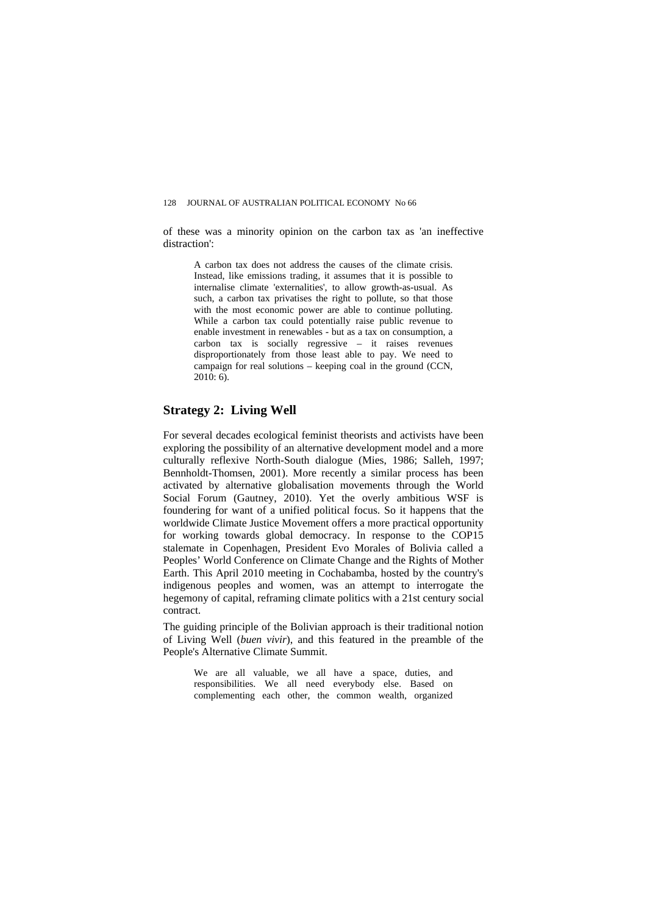of these was a minority opinion on the carbon tax as 'an ineffective distraction':

A carbon tax does not address the causes of the climate crisis. Instead, like emissions trading, it assumes that it is possible to internalise climate 'externalities', to allow growth-as-usual. As such, a carbon tax privatises the right to pollute, so that those with the most economic power are able to continue polluting. While a carbon tax could potentially raise public revenue to enable investment in renewables - but as a tax on consumption, a carbon tax is socially regressive – it raises revenues disproportionately from those least able to pay. We need to campaign for real solutions – keeping coal in the ground (CCN, 2010: 6).

## **Strategy 2: Living Well**

For several decades ecological feminist theorists and activists have been exploring the possibility of an alternative development model and a more culturally reflexive North-South dialogue (Mies, 1986; Salleh, 1997; Bennholdt-Thomsen, 2001). More recently a similar process has been activated by alternative globalisation movements through the World Social Forum (Gautney, 2010). Yet the overly ambitious WSF is foundering for want of a unified political focus. So it happens that the worldwide Climate Justice Movement offers a more practical opportunity for working towards global democracy. In response to the COP15 stalemate in Copenhagen, President Evo Morales of Bolivia called a Peoples' World Conference on Climate Change and the Rights of Mother Earth. This April 2010 meeting in Cochabamba, hosted by the country's indigenous peoples and women, was an attempt to interrogate the hegemony of capital, reframing climate politics with a 21st century social contract.

The guiding principle of the Bolivian approach is their traditional notion of Living Well (*buen vivir*), and this featured in the preamble of the People's Alternative Climate Summit.

We are all valuable, we all have a space, duties, and responsibilities. We all need everybody else. Based on complementing each other, the common wealth, organized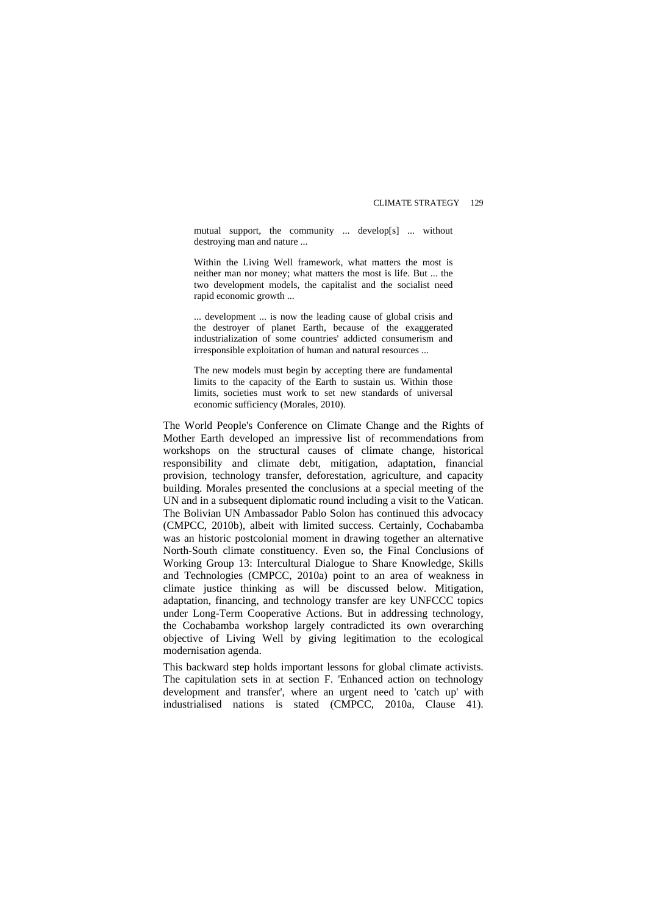mutual support, the community ... develop[s] ... without destroying man and nature ...

Within the Living Well framework, what matters the most is neither man nor money; what matters the most is life. But ... the two development models, the capitalist and the socialist need rapid economic growth ...

... development ... is now the leading cause of global crisis and the destroyer of planet Earth, because of the exaggerated industrialization of some countries' addicted consumerism and irresponsible exploitation of human and natural resources ...

The new models must begin by accepting there are fundamental limits to the capacity of the Earth to sustain us. Within those limits, societies must work to set new standards of universal economic sufficiency (Morales, 2010).

The World People's Conference on Climate Change and the Rights of Mother Earth developed an impressive list of recommendations from workshops on the structural causes of climate change, historical responsibility and climate debt, mitigation, adaptation, financial provision, technology transfer, deforestation, agriculture, and capacity building. Morales presented the conclusions at a special meeting of the UN and in a subsequent diplomatic round including a visit to the Vatican. The Bolivian UN Ambassador Pablo Solon has continued this advocacy (CMPCC, 2010b), albeit with limited success. Certainly, Cochabamba was an historic postcolonial moment in drawing together an alternative North-South climate constituency. Even so, the Final Conclusions of Working Group 13: Intercultural Dialogue to Share Knowledge, Skills and Technologies (CMPCC, 2010a) point to an area of weakness in climate justice thinking as will be discussed below. Mitigation, adaptation, financing, and technology transfer are key UNFCCC topics under Long-Term Cooperative Actions. But in addressing technology, the Cochabamba workshop largely contradicted its own overarching objective of Living Well by giving legitimation to the ecological modernisation agenda.

This backward step holds important lessons for global climate activists. The capitulation sets in at section F. 'Enhanced action on technology development and transfer', where an urgent need to 'catch up' with industrialised nations is stated (CMPCC, 2010a, Clause 41).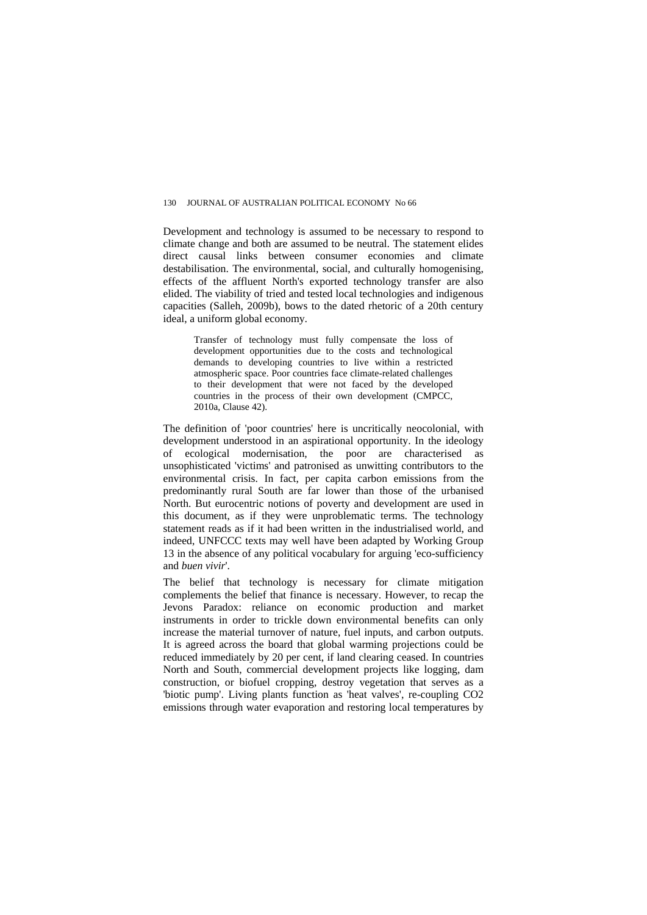Development and technology is assumed to be necessary to respond to climate change and both are assumed to be neutral. The statement elides direct causal links between consumer economies and climate destabilisation. The environmental, social, and culturally homogenising, effects of the affluent North's exported technology transfer are also elided. The viability of tried and tested local technologies and indigenous capacities (Salleh, 2009b), bows to the dated rhetoric of a 20th century ideal, a uniform global economy.

Transfer of technology must fully compensate the loss of development opportunities due to the costs and technological demands to developing countries to live within a restricted atmospheric space. Poor countries face climate-related challenges to their development that were not faced by the developed countries in the process of their own development (CMPCC, 2010a, Clause 42).

The definition of 'poor countries' here is uncritically neocolonial, with development understood in an aspirational opportunity. In the ideology of ecological modernisation, the poor are characterised as unsophisticated 'victims' and patronised as unwitting contributors to the environmental crisis. In fact, per capita carbon emissions from the predominantly rural South are far lower than those of the urbanised North. But eurocentric notions of poverty and development are used in this document, as if they were unproblematic terms. The technology statement reads as if it had been written in the industrialised world, and indeed, UNFCCC texts may well have been adapted by Working Group 13 in the absence of any political vocabulary for arguing 'eco-sufficiency and *buen vivir*'.

The belief that technology is necessary for climate mitigation complements the belief that finance is necessary. However, to recap the Jevons Paradox: reliance on economic production and market instruments in order to trickle down environmental benefits can only increase the material turnover of nature, fuel inputs, and carbon outputs. It is agreed across the board that global warming projections could be reduced immediately by 20 per cent, if land clearing ceased. In countries North and South, commercial development projects like logging, dam construction, or biofuel cropping, destroy vegetation that serves as a 'biotic pump'. Living plants function as 'heat valves', re-coupling CO2 emissions through water evaporation and restoring local temperatures by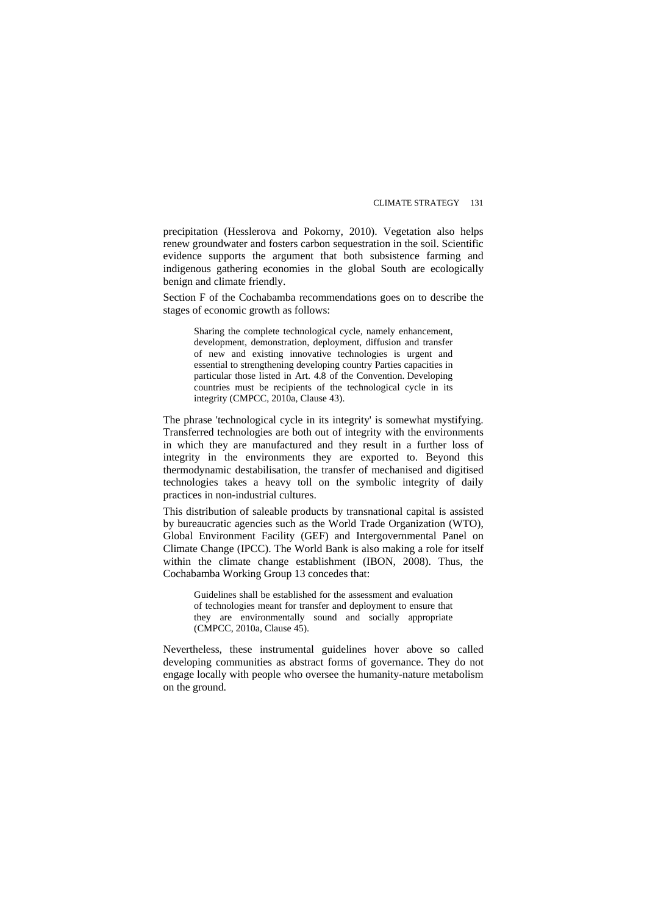precipitation (Hesslerova and Pokorny, 2010). Vegetation also helps renew groundwater and fosters carbon sequestration in the soil. Scientific evidence supports the argument that both subsistence farming and indigenous gathering economies in the global South are ecologically benign and climate friendly.

Section F of the Cochabamba recommendations goes on to describe the stages of economic growth as follows:

Sharing the complete technological cycle, namely enhancement, development, demonstration, deployment, diffusion and transfer of new and existing innovative technologies is urgent and essential to strengthening developing country Parties capacities in particular those listed in Art. 4.8 of the Convention. Developing countries must be recipients of the technological cycle in its integrity (CMPCC, 2010a, Clause 43).

The phrase 'technological cycle in its integrity' is somewhat mystifying. Transferred technologies are both out of integrity with the environments in which they are manufactured and they result in a further loss of integrity in the environments they are exported to. Beyond this thermodynamic destabilisation, the transfer of mechanised and digitised technologies takes a heavy toll on the symbolic integrity of daily practices in non-industrial cultures.

This distribution of saleable products by transnational capital is assisted by bureaucratic agencies such as the World Trade Organization (WTO), Global Environment Facility (GEF) and Intergovernmental Panel on Climate Change (IPCC). The World Bank is also making a role for itself within the climate change establishment (IBON, 2008). Thus, the Cochabamba Working Group 13 concedes that:

Guidelines shall be established for the assessment and evaluation of technologies meant for transfer and deployment to ensure that they are environmentally sound and socially appropriate (CMPCC, 2010a, Clause 45).

Nevertheless, these instrumental guidelines hover above so called developing communities as abstract forms of governance. They do not engage locally with people who oversee the humanity-nature metabolism on the ground.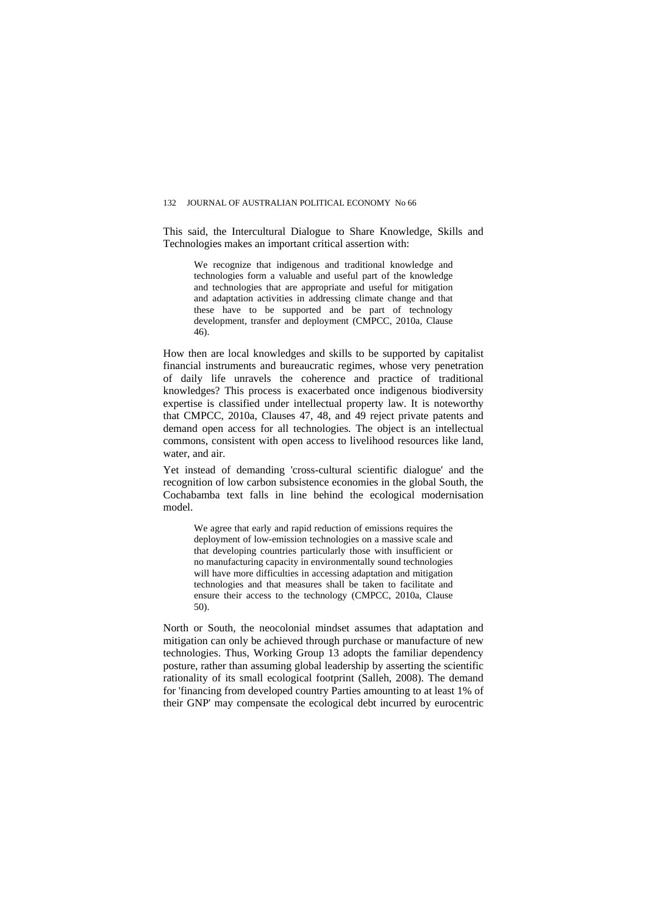This said, the Intercultural Dialogue to Share Knowledge, Skills and Technologies makes an important critical assertion with:

We recognize that indigenous and traditional knowledge and technologies form a valuable and useful part of the knowledge and technologies that are appropriate and useful for mitigation and adaptation activities in addressing climate change and that these have to be supported and be part of technology development, transfer and deployment (CMPCC, 2010a, Clause 46).

How then are local knowledges and skills to be supported by capitalist financial instruments and bureaucratic regimes, whose very penetration of daily life unravels the coherence and practice of traditional knowledges? This process is exacerbated once indigenous biodiversity expertise is classified under intellectual property law. It is noteworthy that CMPCC, 2010a, Clauses 47, 48, and 49 reject private patents and demand open access for all technologies. The object is an intellectual commons, consistent with open access to livelihood resources like land, water, and air.

Yet instead of demanding 'cross-cultural scientific dialogue' and the recognition of low carbon subsistence economies in the global South, the Cochabamba text falls in line behind the ecological modernisation model.

We agree that early and rapid reduction of emissions requires the deployment of low-emission technologies on a massive scale and that developing countries particularly those with insufficient or no manufacturing capacity in environmentally sound technologies will have more difficulties in accessing adaptation and mitigation technologies and that measures shall be taken to facilitate and ensure their access to the technology (CMPCC, 2010a, Clause 50).

North or South, the neocolonial mindset assumes that adaptation and mitigation can only be achieved through purchase or manufacture of new technologies. Thus, Working Group 13 adopts the familiar dependency posture, rather than assuming global leadership by asserting the scientific rationality of its small ecological footprint (Salleh, 2008). The demand for 'financing from developed country Parties amounting to at least 1% of their GNP' may compensate the ecological debt incurred by eurocentric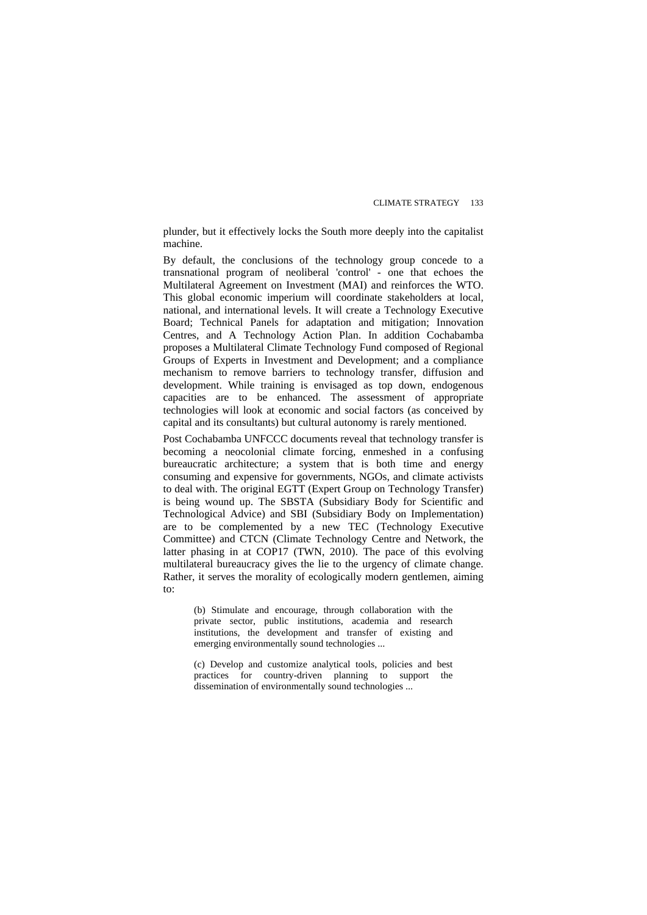plunder, but it effectively locks the South more deeply into the capitalist machine.

By default, the conclusions of the technology group concede to a transnational program of neoliberal 'control' - one that echoes the Multilateral Agreement on Investment (MAI) and reinforces the WTO. This global economic imperium will coordinate stakeholders at local, national, and international levels. It will create a Technology Executive Board; Technical Panels for adaptation and mitigation; Innovation Centres, and A Technology Action Plan. In addition Cochabamba proposes a Multilateral Climate Technology Fund composed of Regional Groups of Experts in Investment and Development; and a compliance mechanism to remove barriers to technology transfer, diffusion and development. While training is envisaged as top down, endogenous capacities are to be enhanced. The assessment of appropriate technologies will look at economic and social factors (as conceived by capital and its consultants) but cultural autonomy is rarely mentioned.

Post Cochabamba UNFCCC documents reveal that technology transfer is becoming a neocolonial climate forcing, enmeshed in a confusing bureaucratic architecture; a system that is both time and energy consuming and expensive for governments, NGOs, and climate activists to deal with. The original EGTT (Expert Group on Technology Transfer) is being wound up. The SBSTA (Subsidiary Body for Scientific and Technological Advice) and SBI (Subsidiary Body on Implementation) are to be complemented by a new TEC (Technology Executive Committee) and CTCN (Climate Technology Centre and Network, the latter phasing in at COP17 (TWN, 2010). The pace of this evolving multilateral bureaucracy gives the lie to the urgency of climate change. Rather, it serves the morality of ecologically modern gentlemen, aiming to:

(b) Stimulate and encourage, through collaboration with the private sector, public institutions, academia and research institutions, the development and transfer of existing and emerging environmentally sound technologies ...

(c) Develop and customize analytical tools, policies and best practices for country-driven planning to support the dissemination of environmentally sound technologies ...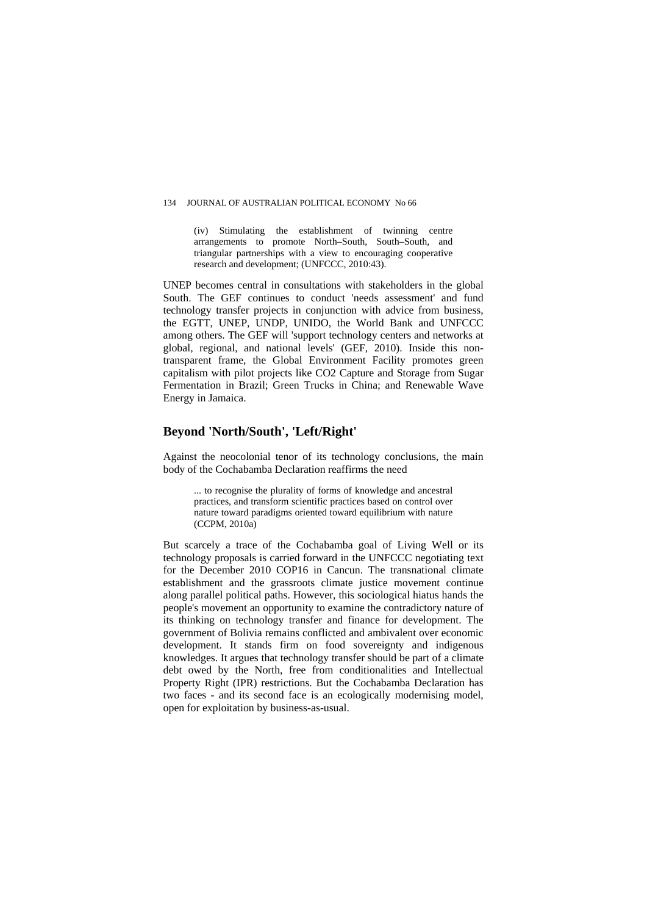#### 134 JOURNAL OF AUSTRALIAN POLITICAL ECONOMY No 66

(iv) Stimulating the establishment of twinning centre arrangements to promote North–South, South–South, and triangular partnerships with a view to encouraging cooperative research and development; (UNFCCC, 2010:43).

UNEP becomes central in consultations with stakeholders in the global South. The GEF continues to conduct 'needs assessment' and fund technology transfer projects in conjunction with advice from business, the EGTT, UNEP, UNDP, UNIDO, the World Bank and UNFCCC among others. The GEF will 'support technology centers and networks at global, regional, and national levels' (GEF, 2010). Inside this nontransparent frame, the Global Environment Facility promotes green capitalism with pilot projects like CO2 Capture and Storage from Sugar Fermentation in Brazil; Green Trucks in China; and Renewable Wave Energy in Jamaica.

## **Beyond 'North/South', 'Left/Right'**

Against the neocolonial tenor of its technology conclusions, the main body of the Cochabamba Declaration reaffirms the need

... to recognise the plurality of forms of knowledge and ancestral practices, and transform scientific practices based on control over nature toward paradigms oriented toward equilibrium with nature (CCPM, 2010a)

But scarcely a trace of the Cochabamba goal of Living Well or its technology proposals is carried forward in the UNFCCC negotiating text for the December 2010 COP16 in Cancun. The transnational climate establishment and the grassroots climate justice movement continue along parallel political paths. However, this sociological hiatus hands the people's movement an opportunity to examine the contradictory nature of its thinking on technology transfer and finance for development. The government of Bolivia remains conflicted and ambivalent over economic development. It stands firm on food sovereignty and indigenous knowledges. It argues that technology transfer should be part of a climate debt owed by the North, free from conditionalities and Intellectual Property Right (IPR) restrictions. But the Cochabamba Declaration has two faces - and its second face is an ecologically modernising model, open for exploitation by business-as-usual.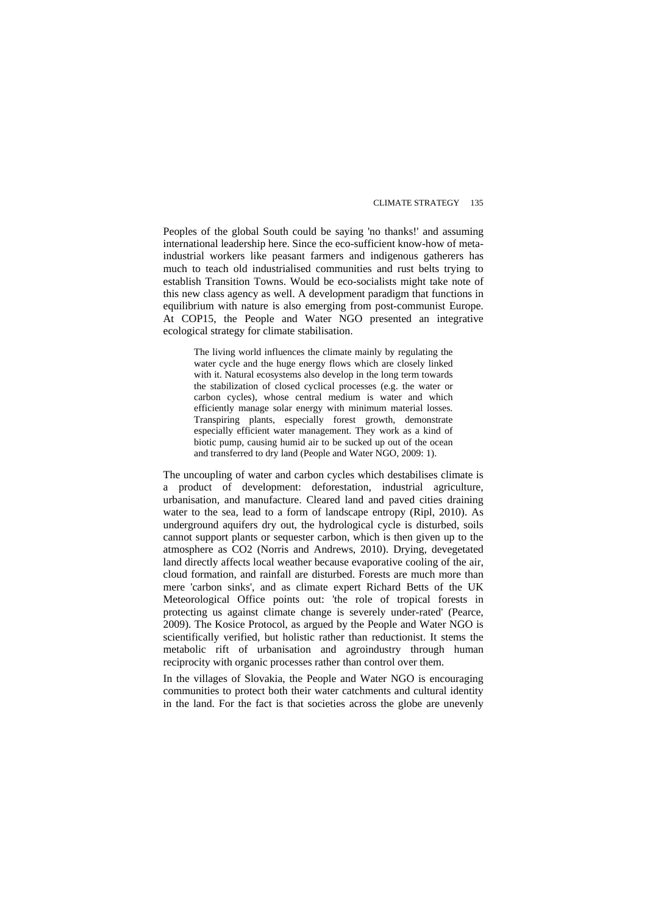Peoples of the global South could be saying 'no thanks!' and assuming international leadership here. Since the eco-sufficient know-how of metaindustrial workers like peasant farmers and indigenous gatherers has much to teach old industrialised communities and rust belts trying to establish Transition Towns. Would be eco-socialists might take note of this new class agency as well. A development paradigm that functions in equilibrium with nature is also emerging from post-communist Europe. At COP15, the People and Water NGO presented an integrative ecological strategy for climate stabilisation.

The living world influences the climate mainly by regulating the water cycle and the huge energy flows which are closely linked with it. Natural ecosystems also develop in the long term towards the stabilization of closed cyclical processes (e.g. the water or carbon cycles), whose central medium is water and which efficiently manage solar energy with minimum material losses. Transpiring plants, especially forest growth, demonstrate especially efficient water management. They work as a kind of biotic pump, causing humid air to be sucked up out of the ocean and transferred to dry land (People and Water NGO, 2009: 1).

The uncoupling of water and carbon cycles which destabilises climate is a product of development: deforestation, industrial agriculture, urbanisation, and manufacture. Cleared land and paved cities draining water to the sea, lead to a form of landscape entropy (Ripl, 2010). As underground aquifers dry out, the hydrological cycle is disturbed, soils cannot support plants or sequester carbon, which is then given up to the atmosphere as CO2 (Norris and Andrews, 2010). Drying, devegetated land directly affects local weather because evaporative cooling of the air, cloud formation, and rainfall are disturbed. Forests are much more than mere 'carbon sinks', and as climate expert Richard Betts of the UK Meteorological Office points out: 'the role of tropical forests in protecting us against climate change is severely under-rated' (Pearce, 2009). The Kosice Protocol, as argued by the People and Water NGO is scientifically verified, but holistic rather than reductionist. It stems the metabolic rift of urbanisation and agroindustry through human reciprocity with organic processes rather than control over them.

In the villages of Slovakia, the People and Water NGO is encouraging communities to protect both their water catchments and cultural identity in the land. For the fact is that societies across the globe are unevenly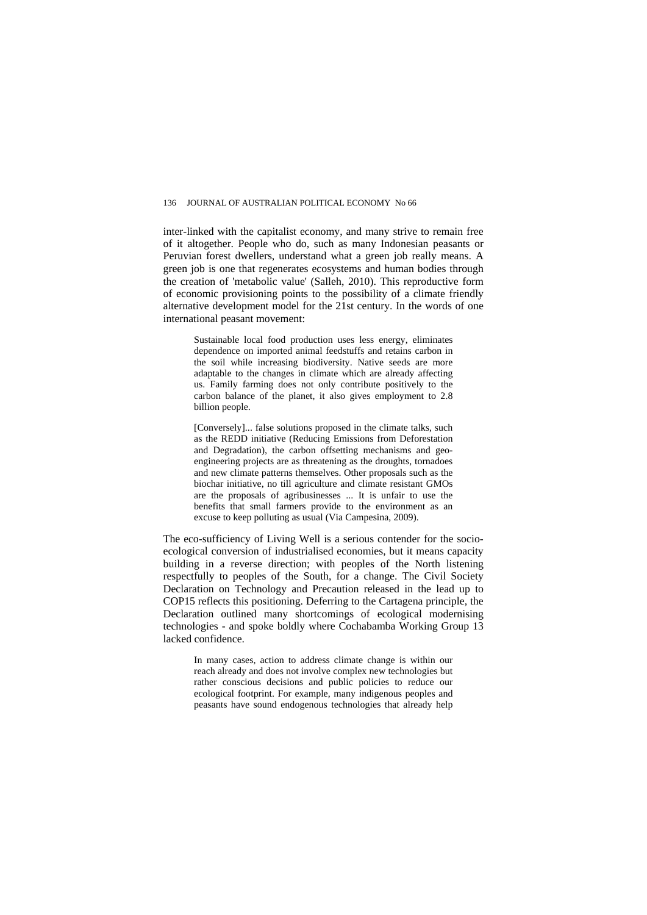inter-linked with the capitalist economy, and many strive to remain free of it altogether. People who do, such as many Indonesian peasants or Peruvian forest dwellers, understand what a green job really means. A green job is one that regenerates ecosystems and human bodies through the creation of 'metabolic value' (Salleh, 2010). This reproductive form of economic provisioning points to the possibility of a climate friendly alternative development model for the 21st century. In the words of one international peasant movement:

Sustainable local food production uses less energy, eliminates dependence on imported animal feedstuffs and retains carbon in the soil while increasing biodiversity. Native seeds are more adaptable to the changes in climate which are already affecting us. Family farming does not only contribute positively to the carbon balance of the planet, it also gives employment to 2.8 billion people.

[Conversely]... false solutions proposed in the climate talks, such as the REDD initiative (Reducing Emissions from Deforestation and Degradation), the carbon offsetting mechanisms and geoengineering projects are as threatening as the droughts, tornadoes and new climate patterns themselves. Other proposals such as the biochar initiative, no till agriculture and climate resistant GMOs are the proposals of agribusinesses ... It is unfair to use the benefits that small farmers provide to the environment as an excuse to keep polluting as usual (Via Campesina, 2009).

The eco-sufficiency of Living Well is a serious contender for the socioecological conversion of industrialised economies, but it means capacity building in a reverse direction; with peoples of the North listening respectfully to peoples of the South, for a change. The Civil Society Declaration on Technology and Precaution released in the lead up to COP15 reflects this positioning. Deferring to the Cartagena principle, the Declaration outlined many shortcomings of ecological modernising technologies - and spoke boldly where Cochabamba Working Group 13 lacked confidence.

In many cases, action to address climate change is within our reach already and does not involve complex new technologies but rather conscious decisions and public policies to reduce our ecological footprint. For example, many indigenous peoples and peasants have sound endogenous technologies that already help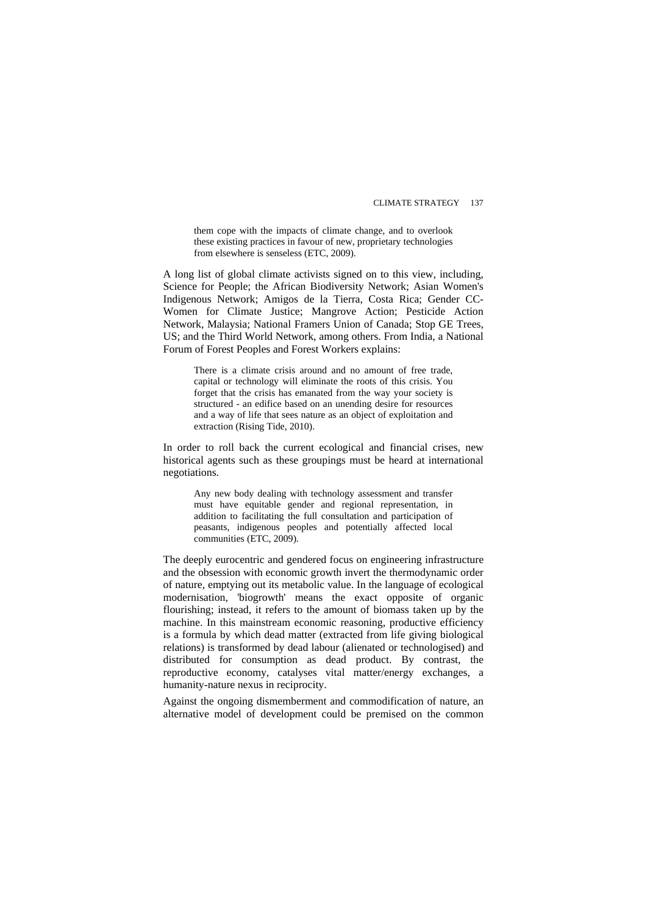them cope with the impacts of climate change, and to overlook these existing practices in favour of new, proprietary technologies from elsewhere is senseless (ETC, 2009).

A long list of global climate activists signed on to this view, including, Science for People; the African Biodiversity Network; Asian Women's Indigenous Network; Amigos de la Tierra, Costa Rica; Gender CC-Women for Climate Justice; Mangrove Action; Pesticide Action Network, Malaysia; National Framers Union of Canada; Stop GE Trees, US; and the Third World Network, among others. From India, a National Forum of Forest Peoples and Forest Workers explains:

There is a climate crisis around and no amount of free trade, capital or technology will eliminate the roots of this crisis. You forget that the crisis has emanated from the way your society is structured - an edifice based on an unending desire for resources and a way of life that sees nature as an object of exploitation and extraction (Rising Tide, 2010).

In order to roll back the current ecological and financial crises, new historical agents such as these groupings must be heard at international negotiations.

Any new body dealing with technology assessment and transfer must have equitable gender and regional representation, in addition to facilitating the full consultation and participation of peasants, indigenous peoples and potentially affected local communities (ETC, 2009).

The deeply eurocentric and gendered focus on engineering infrastructure and the obsession with economic growth invert the thermodynamic order of nature, emptying out its metabolic value. In the language of ecological modernisation, 'biogrowth' means the exact opposite of organic flourishing; instead, it refers to the amount of biomass taken up by the machine. In this mainstream economic reasoning, productive efficiency is a formula by which dead matter (extracted from life giving biological relations) is transformed by dead labour (alienated or technologised) and distributed for consumption as dead product. By contrast, the reproductive economy, catalyses vital matter/energy exchanges, a humanity-nature nexus in reciprocity.

Against the ongoing dismemberment and commodification of nature, an alternative model of development could be premised on the common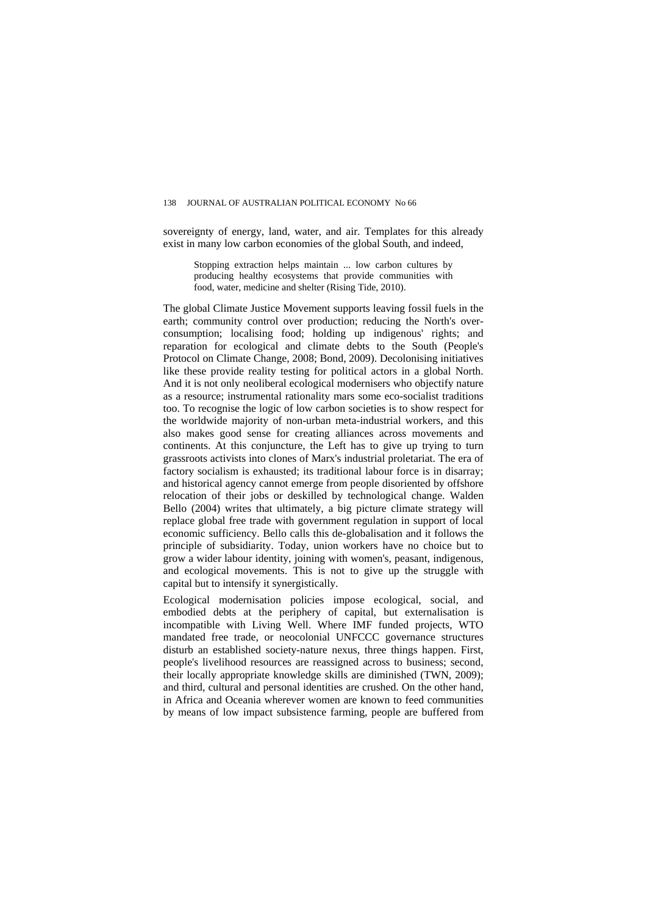sovereignty of energy, land, water, and air. Templates for this already exist in many low carbon economies of the global South, and indeed,

Stopping extraction helps maintain ... low carbon cultures by producing healthy ecosystems that provide communities with food, water, medicine and shelter (Rising Tide, 2010).

The global Climate Justice Movement supports leaving fossil fuels in the earth; community control over production; reducing the North's overconsumption; localising food; holding up indigenous' rights; and reparation for ecological and climate debts to the South (People's Protocol on Climate Change, 2008; Bond, 2009). Decolonising initiatives like these provide reality testing for political actors in a global North. And it is not only neoliberal ecological modernisers who objectify nature as a resource; instrumental rationality mars some eco-socialist traditions too. To recognise the logic of low carbon societies is to show respect for the worldwide majority of non-urban meta-industrial workers, and this also makes good sense for creating alliances across movements and continents. At this conjuncture, the Left has to give up trying to turn grassroots activists into clones of Marx's industrial proletariat. The era of factory socialism is exhausted; its traditional labour force is in disarray; and historical agency cannot emerge from people disoriented by offshore relocation of their jobs or deskilled by technological change. Walden Bello (2004) writes that ultimately, a big picture climate strategy will replace global free trade with government regulation in support of local economic sufficiency. Bello calls this de-globalisation and it follows the principle of subsidiarity. Today, union workers have no choice but to grow a wider labour identity, joining with women's, peasant, indigenous, and ecological movements. This is not to give up the struggle with capital but to intensify it synergistically.

Ecological modernisation policies impose ecological, social, and embodied debts at the periphery of capital, but externalisation is incompatible with Living Well. Where IMF funded projects, WTO mandated free trade, or neocolonial UNFCCC governance structures disturb an established society-nature nexus, three things happen. First, people's livelihood resources are reassigned across to business; second, their locally appropriate knowledge skills are diminished (TWN, 2009); and third, cultural and personal identities are crushed. On the other hand, in Africa and Oceania wherever women are known to feed communities by means of low impact subsistence farming, people are buffered from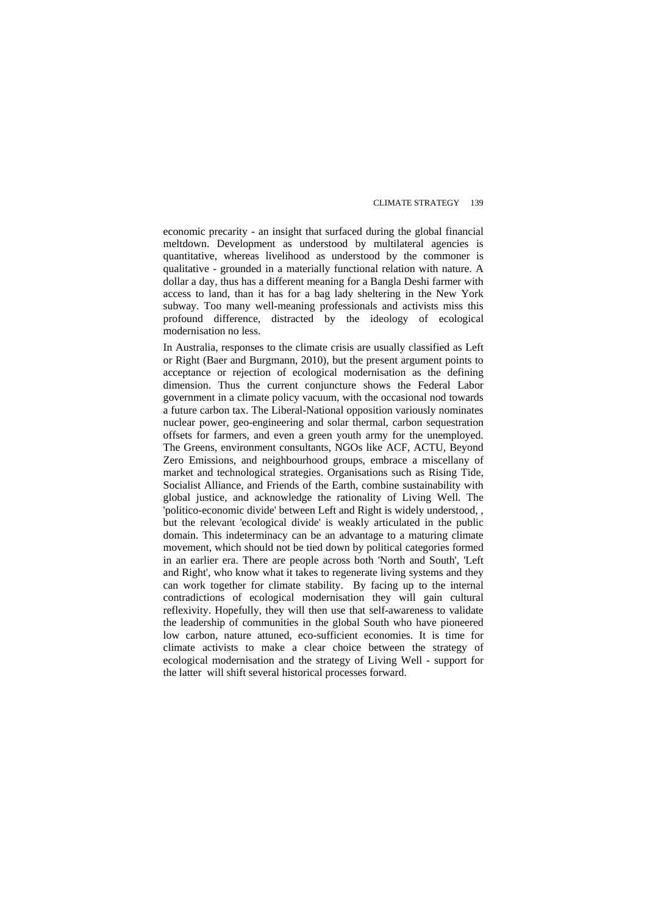economic precarity - an insight that surfaced during the global financial meltdown. Development as understood by multilateral agencies is quantitative, whereas livelihood as understood by the commoner is qualitative - grounded in a materially functional relation with nature. A dollar a day, thus has a different meaning for a Bangla Deshi farmer with access to land, than it has for a bag lady sheltering in the New York subway. Too many well-meaning professionals and activists miss this profound difference, distracted by the ideology of ecological modernisation no less.

In Australia, responses to the climate crisis are usually classified as Left or Right (Baer and Burgmann, 2010), but the present argument points to acceptance or rejection of ecological modernisation as the defining dimension. Thus the current conjuncture shows the Federal Labor government in a climate policy vacuum, with the occasional nod towards a future carbon tax. The Liberal-National opposition variously nominates nuclear power, geo-engineering and solar thermal, carbon sequestration offsets for farmers, and even a green youth army for the unemployed. The Greens, environment consultants, NGOs like ACF, ACTU, Beyond Zero Emissions, and neighbourhood groups, embrace a miscellany of market and technological strategies. Organisations such as Rising Tide, Socialist Alliance, and Friends of the Earth, combine sustainability with global justice, and acknowledge the rationality of Living Well. The 'politico-economic divide' between Left and Right is widely understood, , but the relevant 'ecological divide' is weakly articulated in the public domain. This indeterminacy can be an advantage to a maturing climate movement, which should not be tied down by political categories formed in an earlier era. There are people across both 'North and South', 'Left and Right', who know what it takes to regenerate living systems and they can work together for climate stability. By facing up to the internal contradictions of ecological modernisation they will gain cultural reflexivity. Hopefully, they will then use that self-awareness to validate the leadership of communities in the global South who have pioneered low carbon, nature attuned, eco-sufficient economies. It is time for climate activists to make a clear choice between the strategy of ecological modernisation and the strategy of Living Well - support for the latter will shift several historical processes forward.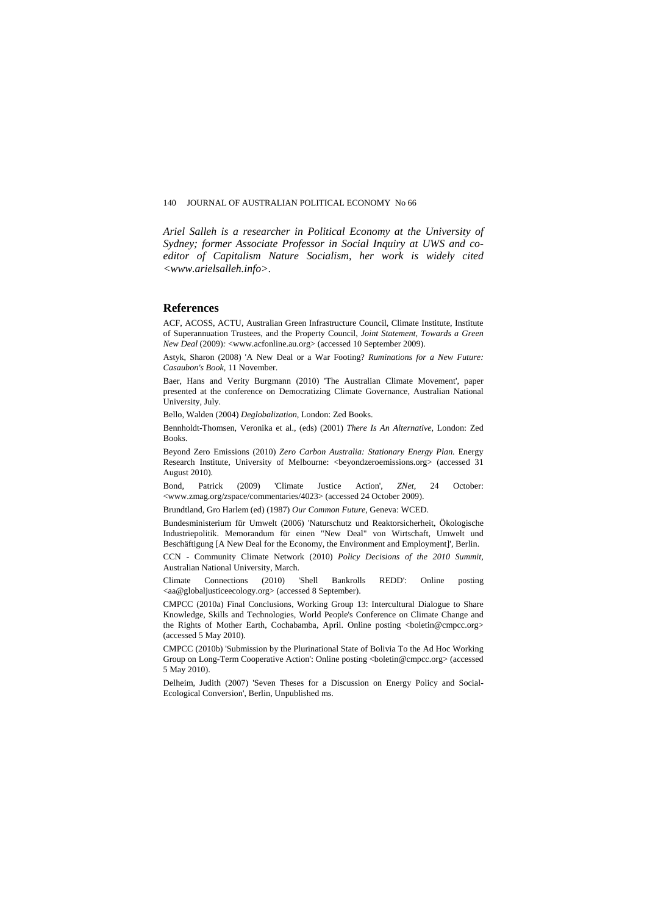*Ariel Salleh is a researcher in Political Economy at the University of Sydney; former Associate Professor in Social Inquiry at UWS and coeditor of Capitalism Nature Socialism, her work is widely cited <www.arielsalleh.info>.* 

#### **References**

ACF, ACOSS, ACTU, Australian Green Infrastructure Council, Climate Institute, Institute of Superannuation Trustees, and the Property Council, *Joint Statement, Towards a Green New Deal* (2009)*:* <www.acfonline.au.org> (accessed 10 September 2009).

Astyk, Sharon (2008) 'A New Deal or a War Footing? *Ruminations for a New Future: Casaubon's Book*, 11 November.

Baer, Hans and Verity Burgmann (2010) 'The Australian Climate Movement', paper presented at the conference on Democratizing Climate Governance, Australian National University, July.

Bello, Walden (2004) *Deglobalization*, London: Zed Books.

Bennholdt-Thomsen, Veronika et al., (eds) (2001) *There Is An Alternative,* London: Zed Books.

Beyond Zero Emissions (2010) *Zero Carbon Australia: Stationary Energy Plan.* Energy Research Institute, University of Melbourne: <beyondzeroemissions.org> (accessed 31 August 2010).

Bond, Patrick (2009) 'Climate Justice Action', *ZNet*, 24 October: [<www.zmag.](http://www.zmag.org/zspace/commentaries/4023)org/zspace/commentaries/4023> (accessed 24 October 2009).

Brundtland, Gro Harlem (ed) (1987) *Our Common Future*, Geneva: WCED.

Bundesministerium für Umwelt (2006) 'Naturschutz und Reaktorsicherheit, Ökologische Industriepolitik. Memorandum für einen "New Deal" von Wirtschaft, Umwelt und Beschäftigung [A New Deal for the Economy, the Environment and Employment]', Berlin.

CCN - Community Climate Network (2010) *Policy Decisions of the 2010 Summit,* Australian National University, March.

Climate Connections (2010) 'Shell Bankrolls REDD': Online posting <aa@globaljusticeecology.org> (accessed 8 September).

CMPCC (2010a) Final Conclusions, Working Group 13: Intercultural Dialogue to Share Knowledge, Skills and Technologies, World People's Conference on Climate Change and the Rights of Mother Earth, Cochabamba, April. Online posting <br/>  $\alpha$ -boletin@cmpcc.org> (accessed 5 May 2010).

CMPCC (2010b) 'Submission by the Plurinational State of Bolivia To the Ad Hoc Working Group on Long-Term Cooperative Action': Online posting <boletin@cmpcc.org> (accessed 5 May 2010).

Delheim, Judith (2007) 'Seven Theses for a Discussion on Energy Policy and Social-Ecological Conversion', Berlin, Unpublished ms.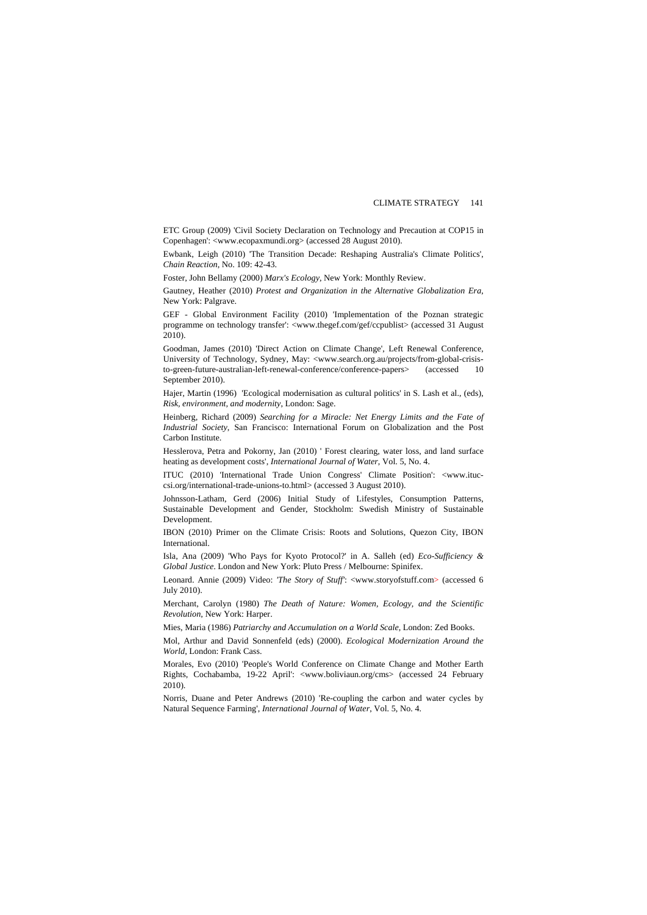ETC Group (2009) '[Civil Society Declaration on Technology and Precaution at COP15 in](http://www.ecopaxmundi.org/2009/12/06/civil-society-declaration-on-technology-and-precaution-at-cop15-in-copenhagen/)  [Copenhagen](http://www.ecopaxmundi.org/2009/12/06/civil-society-declaration-on-technology-and-precaution-at-cop15-in-copenhagen/)': <www.ecopaxmundi.org> (accessed 28 August 2010).

Ewbank, Leigh (2010) 'The Transition Decade: Reshaping Australia's Climate Politics', *Chain Reaction*, No. 109: 42-43.

Foster, John Bellamy (2000) *Marx's Ecology*, New York: Monthly Review.

Gautney, Heather (2010) *Protest and Organization in the Alternative Globalization Era*, New York: Palgrave.

GEF - Global Environment Facility (2010) 'Implementation of the Poznan strategic programme on technology transfer': <www.thegef.com/gef/ccpublist> (accessed 31 August 2010).

Goodman, James (2010) 'Direct Action on Climate Change', Left Renewal Conference, University of Technology, Sydney, May: <[www.search.org.au/projects/from-global-crisis](http://www.search.org.au/projects/from-global-crisis-to-green-future-australian-left-renewal-conference/conference-papers)[to-green-future-australian-left-renewal-conference/conference-papers](http://www.search.org.au/projects/from-global-crisis-to-green-future-australian-left-renewal-conference/conference-papers)> (accessed 10 September 2010).

Hajer, Martin (1996) 'Ecological modernisation as cultural politics' in S. Lash et al., (eds), *Risk, environment, and modernity*, London: Sage.

Heinberg, Richard (2009) *Searching for a Miracle: Net Energy Limits and the Fate of Industrial Society*, San Francisco: International Forum on Globalization and the Post Carbon Institute.

Hesslerova, Petra and Pokorny, Jan (2010) ' Forest clearing, water loss, and land surface heating as development costs', *International Journal of Water*, Vol. 5, No. 4.

ITUC (2010) 'International Trade Union Congress' Climate Position': [<www.ituc](http://www.ituc-csi.org/international-trade-unions-to.html)[csi.org/international-trade-unions-to.html>](http://www.ituc-csi.org/international-trade-unions-to.html) (accessed 3 August 2010).

Johnsson-Latham, Gerd (2006) Initial Study of Lifestyles, Consumption Patterns, Sustainable Development and Gender, Stockholm: Swedish Ministry of Sustainable Development.

IBON (2010) Primer on the Climate Crisis: Roots and Solutions, Quezon City, IBON International.

Isla, Ana (2009) 'Who Pays for Kyoto Protocol?' in A. Salleh (ed) *Eco-Sufficiency & Global Justice*. London and New York: Pluto Press / Melbourne: Spinifex.

Leonard. Annie (2009) Video: *'The Story of Stuff'*: <www.storyofstuff.com> (accessed 6 July 2010).

Merchant, Carolyn (1980) *The Death of Nature: Women, Ecology, and the Scientific Revolution*, New York: Harper.

Mies, Maria (1986) *Patriarchy and Accumulation on a World Scale,* London: Zed Books.

Mol, Arthur and David Sonnenfeld (eds) (2000). *Ecological Modernization Around the World*, London: Frank Cass.

Morales, Evo (2010) 'People's World Conference on Climate Change and Mother Earth Rights, Cochabamba, 19-22 April': <www.boliviaun.org/cms> (accessed 24 February 2010).

Norris, Duane and Peter Andrews (2010) 'Re-coupling the carbon and water cycles by Natural Sequence Farming', *International Journal of Water*, Vol. 5, No. 4.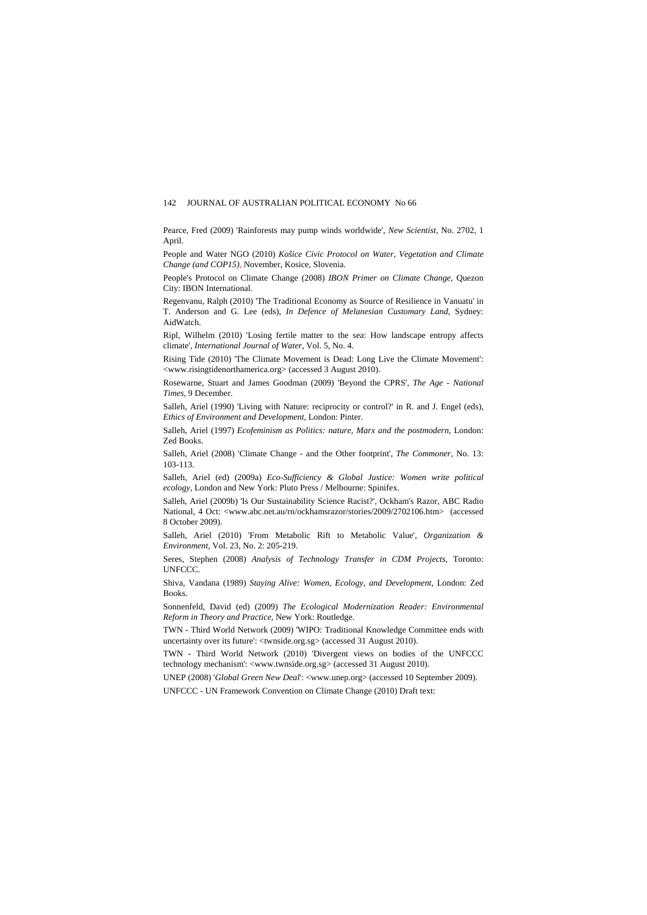#### 142 JOURNAL OF AUSTRALIAN POLITICAL ECONOMY No 66

Pearce, Fred (2009) 'Rainforests may pump winds worldwide', *New Scientist,* No. 2702, 1 April.

People and Water NGO (2010) *Košice Civic Protocol on Water, Vegetation and Climate Change (and COP15),* November, Kosice, Slovenia.

People's Protocol on Climate Change (2008) *IBON Primer on Climate Change*, Quezon City: IBON International.

Regenvanu, Ralph (2010) 'The Traditional Economy as Source of Resilience in Vanuatu' in T. Anderson and G. Lee (eds), *In Defence of Melanesian Customary Land*, Sydney: AidWatch.

Ripl, Wilhelm (2010) 'Losing fertile matter to the sea: How landscape entropy affects climate', *International Journal of Water*, Vol. 5, No. 4.

Rising Tide (2010) 'The Climate Movement is Dead: Long Live the Climate Movement': <www.risingtidenorthamerica.org> (accessed 3 August 2010).

Rosewarne, Stuart and James Goodman (2009) 'Beyond the CPRS', *The Age - National Times*, 9 December.

Salleh, Ariel (1990) 'Living with Nature: reciprocity or control?' in R. and J. Engel (eds), *Ethics of Environment and Development*, London: Pinter.

Salleh, Ariel (1997) *Ecofeminism as Politics: nature, Marx and the postmodern*, London: Zed Books.

Salleh, Ariel (2008) 'Climate Change - and the Other footprint', *The Commoner*, No. 13: 103-113.

Salleh, Ariel (ed) (2009a) *Eco-Sufficiency & Global Justice: Women write political ecology,* London and New York: Pluto Press / Melbourne: Spinifex.

Salleh, Ariel (2009b) 'Is Our Sustainability Science Racist?', Ockham's Razor, ABC Radio National, 4 Oct: [<www.abc.net.au/rn/ockhamsrazor/stories/2009/2702106.htm>](http://www.abc.net.au/rn/ockhamsrazor/stories/2009/2702106.htm) (accessed 8 October 2009).

Salleh, Ariel (2010) 'From Metabolic Rift to Metabolic Value', *Organization & Environment,* Vol. 23, No. 2: 205-219.

Seres, Stephen (2008) *Analysis of Technology Transfer in CDM Projects*, Toronto: UNFCCC.

Shiva, Vandana (1989) *Staying Alive: Women, Ecology, and Development*, London: Zed Books.

Sonnenfeld, David (ed) (2009) *The Ecological Modernization Reader: Environmental Reform in Theory and Practice*, New York: Routledge.

TWN - Third World Network (2009) 'WIPO: Traditional Knowledge Committee ends with uncertainty over its future': <twnside.org.sg> (accessed 31 August 2010).

TWN - Third World Network (2010) 'Divergent views on bodies of the UNFCCC technology mechanism': <www.twnside.org.sg> (accessed 31 August 2010).

UNEP (2008) '*Global Green New Deal*': <www.unep.org> (accessed 10 September 2009).

UNFCCC - UN Framework Convention on Climate Change (2010) Draft text: